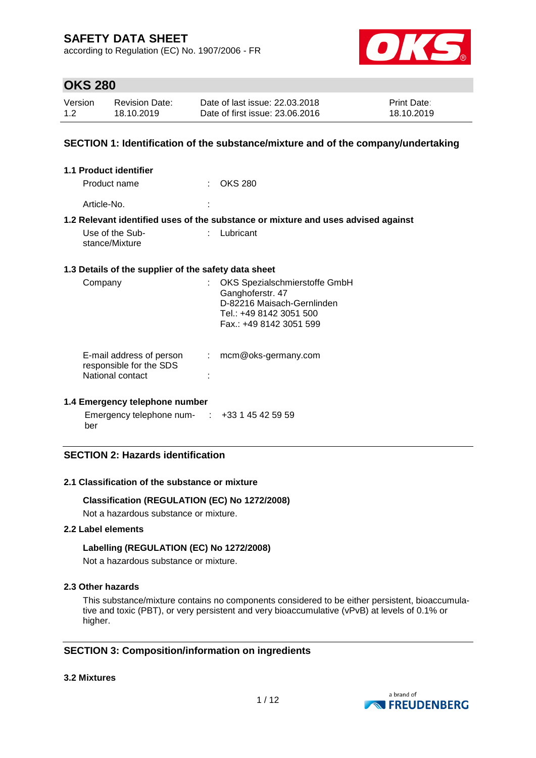according to Regulation (EC) No. 1907/2006 - FR



## **OKS 280**

| Version | <b>Revision Date:</b> | Date of last issue: 22.03.2018  | <b>Print Date:</b> |
|---------|-----------------------|---------------------------------|--------------------|
| 1.2     | 18.10.2019            | Date of first issue: 23,06,2016 | 18.10.2019         |

### **SECTION 1: Identification of the substance/mixture and of the company/undertaking**

| <b>1.1 Product identifier</b>                                           |                                                                                                                                       |
|-------------------------------------------------------------------------|---------------------------------------------------------------------------------------------------------------------------------------|
| Product name                                                            | <b>OKS 280</b>                                                                                                                        |
| Article-No.                                                             |                                                                                                                                       |
|                                                                         | 1.2 Relevant identified uses of the substance or mixture and uses advised against                                                     |
| Use of the Sub-<br>stance/Mixture                                       | Lubricant                                                                                                                             |
| 1.3 Details of the supplier of the safety data sheet                    |                                                                                                                                       |
| Company                                                                 | OKS Spezialschmierstoffe GmbH<br>Ganghoferstr. 47<br>D-82216 Maisach-Gernlinden<br>Tel.: +49 8142 3051 500<br>Fax.: +49 8142 3051 599 |
| E-mail address of person<br>responsible for the SDS<br>National contact | mcm@oks-germany.com                                                                                                                   |

#### **1.4 Emergency telephone number**

Emergency telephone num-: +33 1 45 42 59 59 ber

### **SECTION 2: Hazards identification**

#### **2.1 Classification of the substance or mixture**

#### **Classification (REGULATION (EC) No 1272/2008)**

Not a hazardous substance or mixture.

### **2.2 Label elements**

#### **Labelling (REGULATION (EC) No 1272/2008)**

Not a hazardous substance or mixture.

#### **2.3 Other hazards**

This substance/mixture contains no components considered to be either persistent, bioaccumulative and toxic (PBT), or very persistent and very bioaccumulative (vPvB) at levels of 0.1% or higher.

### **SECTION 3: Composition/information on ingredients**

#### **3.2 Mixtures**

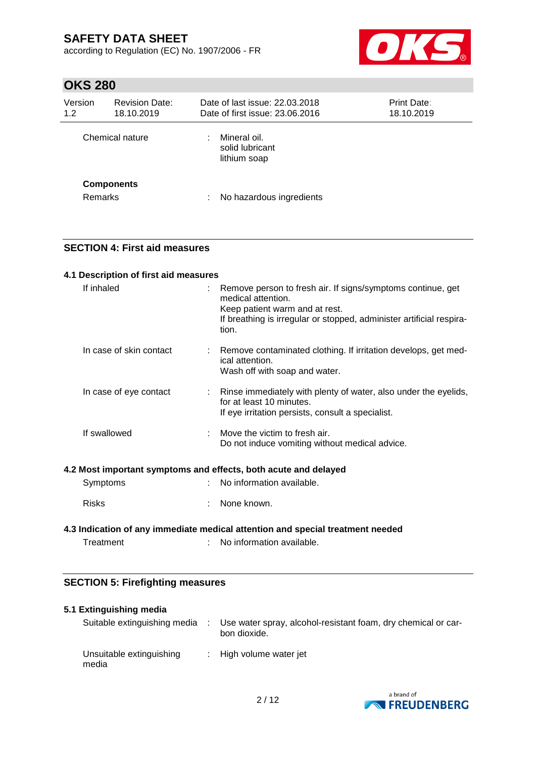according to Regulation (EC) No. 1907/2006 - FR



# **OKS 280**

| Version<br>1.2 | <b>Revision Date:</b><br>18.10.2019 | Date of last issue: 22.03.2018<br>Date of first issue: 23.06.2016 | Print Date:<br>18.10.2019 |
|----------------|-------------------------------------|-------------------------------------------------------------------|---------------------------|
|                | Chemical nature                     | Mineral oil.<br>solid lubricant<br>lithium soap                   |                           |
| <b>Remarks</b> | <b>Components</b>                   | No hazardous ingredients                                          |                           |

### **SECTION 4: First aid measures**

| 4.1 Description of first aid measures |                                                                                                                                                                                                      |
|---------------------------------------|------------------------------------------------------------------------------------------------------------------------------------------------------------------------------------------------------|
| If inhaled                            | Remove person to fresh air. If signs/symptoms continue, get<br>medical attention.<br>Keep patient warm and at rest.<br>If breathing is irregular or stopped, administer artificial respira-<br>tion. |
| In case of skin contact               | Remove contaminated clothing. If irritation develops, get med-<br>ical attention.<br>Wash off with soap and water.                                                                                   |
| In case of eye contact                | Rinse immediately with plenty of water, also under the eyelids,<br>for at least 10 minutes.<br>If eye irritation persists, consult a specialist.                                                     |
| If swallowed                          | Move the victim to fresh air.<br>Do not induce vomiting without medical advice.                                                                                                                      |
|                                       | 4.2 Most important symptoms and effects, both acute and delayed                                                                                                                                      |
| Symptoms                              | No information available.                                                                                                                                                                            |
| <b>Risks</b>                          | None known.                                                                                                                                                                                          |

### **4.3 Indication of any immediate medical attention and special treatment needed** Treatment : No information available.

### **SECTION 5: Firefighting measures**

| 5.1 Extinguishing media           |                                                                               |
|-----------------------------------|-------------------------------------------------------------------------------|
| Suitable extinguishing media      | Use water spray, alcohol-resistant foam, dry chemical or car-<br>bon dioxide. |
| Unsuitable extinguishing<br>media | : High volume water jet                                                       |

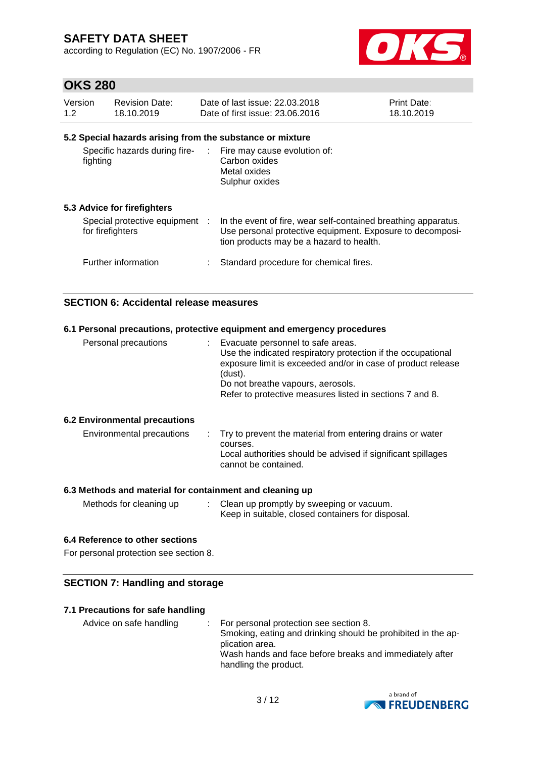according to Regulation (EC) No. 1907/2006 - FR



## **OKS 280**

| Version<br>1.2 | <b>Revision Date:</b><br>18.10.2019              |               | Date of last issue: 22.03.2018<br>Date of first issue: 23.06.2016                                                                                                       | Print Date:<br>18.10.2019 |
|----------------|--------------------------------------------------|---------------|-------------------------------------------------------------------------------------------------------------------------------------------------------------------------|---------------------------|
|                |                                                  |               | 5.2 Special hazards arising from the substance or mixture                                                                                                               |                           |
| fighting       | Specific hazards during fire-                    |               | : Fire may cause evolution of:<br>Carbon oxides<br>Metal oxides<br>Sulphur oxides                                                                                       |                           |
|                | 5.3 Advice for firefighters                      |               |                                                                                                                                                                         |                           |
|                | Special protective equipment<br>for firefighters | $\mathcal{L}$ | In the event of fire, wear self-contained breathing apparatus.<br>Use personal protective equipment. Exposure to decomposi-<br>tion products may be a hazard to health. |                           |

| Further information | Standard procedure for chemical fires. |
|---------------------|----------------------------------------|

### **SECTION 6: Accidental release measures**

| 6.1 Personal precautions, protective equipment and emergency procedures                                                                                                                                                                                                         |
|---------------------------------------------------------------------------------------------------------------------------------------------------------------------------------------------------------------------------------------------------------------------------------|
| : Evacuate personnel to safe areas.<br>Use the indicated respiratory protection if the occupational<br>exposure limit is exceeded and/or in case of product release<br>(dust).<br>Do not breathe vapours, aerosols.<br>Refer to protective measures listed in sections 7 and 8. |
|                                                                                                                                                                                                                                                                                 |
| : Try to prevent the material from entering drains or water<br>courses.<br>Local authorities should be advised if significant spillages<br>cannot be contained.                                                                                                                 |
|                                                                                                                                                                                                                                                                                 |

#### **6.3 Methods and material for containment and cleaning up**

| Methods for cleaning up | Clean up promptly by sweeping or vacuum.          |
|-------------------------|---------------------------------------------------|
|                         | Keep in suitable, closed containers for disposal. |

### **6.4 Reference to other sections**

For personal protection see section 8.

### **SECTION 7: Handling and storage**

#### **7.1 Precautions for safe handling**

| Advice on safe handling | : For personal protection see section 8.<br>Smoking, eating and drinking should be prohibited in the ap-<br>plication area. |
|-------------------------|-----------------------------------------------------------------------------------------------------------------------------|
|                         | Wash hands and face before breaks and immediately after                                                                     |
|                         | handling the product.                                                                                                       |

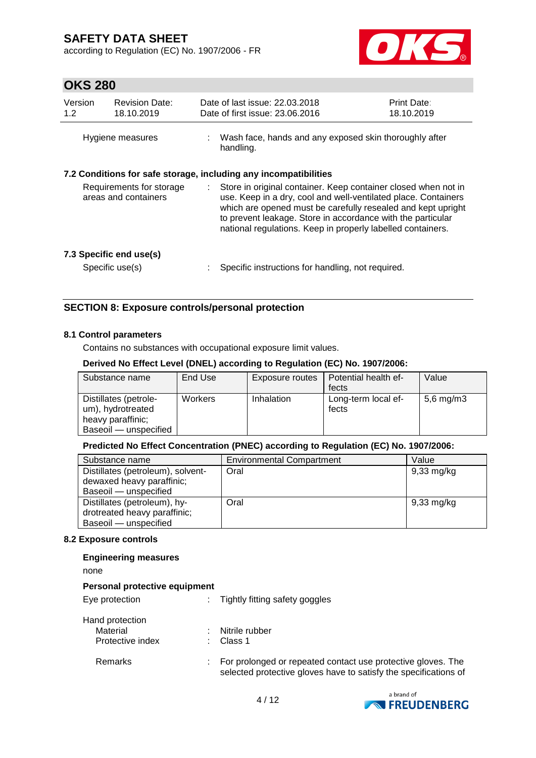according to Regulation (EC) No. 1907/2006 - FR



## **OKS 280**

| Version<br>1.2                                   | <b>Revision Date:</b><br>18.10.2019 | Date of last issue: 22.03.2018<br>Date of first issue: 23.06.2016                                                                                                                                                                                                                                                                    | <b>Print Date:</b><br>18.10.2019 |
|--------------------------------------------------|-------------------------------------|--------------------------------------------------------------------------------------------------------------------------------------------------------------------------------------------------------------------------------------------------------------------------------------------------------------------------------------|----------------------------------|
| Hygiene measures                                 |                                     | Wash face, hands and any exposed skin thoroughly after<br>handling.                                                                                                                                                                                                                                                                  |                                  |
|                                                  |                                     | 7.2 Conditions for safe storage, including any incompatibilities                                                                                                                                                                                                                                                                     |                                  |
| Requirements for storage<br>areas and containers |                                     | Store in original container. Keep container closed when not in<br>÷.<br>use. Keep in a dry, cool and well-ventilated place. Containers<br>which are opened must be carefully resealed and kept upright<br>to prevent leakage. Store in accordance with the particular<br>national regulations. Keep in properly labelled containers. |                                  |
|                                                  | 7.3 Specific end use(s)             |                                                                                                                                                                                                                                                                                                                                      |                                  |
|                                                  | Specific use(s)                     | Specific instructions for handling, not required.                                                                                                                                                                                                                                                                                    |                                  |

### **SECTION 8: Exposure controls/personal protection**

#### **8.1 Control parameters**

Contains no substances with occupational exposure limit values.

#### **Derived No Effect Level (DNEL) according to Regulation (EC) No. 1907/2006:**

| Substance name                                                                           | End Use | Exposure routes | Potential health ef-<br>fects | Value          |
|------------------------------------------------------------------------------------------|---------|-----------------|-------------------------------|----------------|
| Distillates (petrole-<br>um), hydrotreated<br>heavy paraffinic;<br>Baseoil - unspecified | Workers | Inhalation      | Long-term local ef-<br>fects  | $5,6$ mg/m $3$ |

#### **Predicted No Effect Concentration (PNEC) according to Regulation (EC) No. 1907/2006:**

| Substance name                    | <b>Environmental Compartment</b> | Value                |
|-----------------------------------|----------------------------------|----------------------|
| Distillates (petroleum), solvent- | Oral                             | 9,33 mg/kg           |
| dewaxed heavy paraffinic;         |                                  |                      |
| Baseoil - unspecified             |                                  |                      |
| Distillates (petroleum), hy-      | Oral                             | $9,33 \text{ mg/kg}$ |
| drotreated heavy paraffinic;      |                                  |                      |
| Baseoil - unspecified             |                                  |                      |

#### **8.2 Exposure controls**

#### **Engineering measures**

none

#### **Personal protective equipment**

| Eye protection   | ÷. | Tightly fitting safety goggles                                                                                                   |
|------------------|----|----------------------------------------------------------------------------------------------------------------------------------|
| Hand protection  |    |                                                                                                                                  |
| Material         |    | Nitrile rubber                                                                                                                   |
| Protective index |    | Class 1                                                                                                                          |
| Remarks          |    | For prolonged or repeated contact use protective gloves. The<br>selected protective gloves have to satisfy the specifications of |

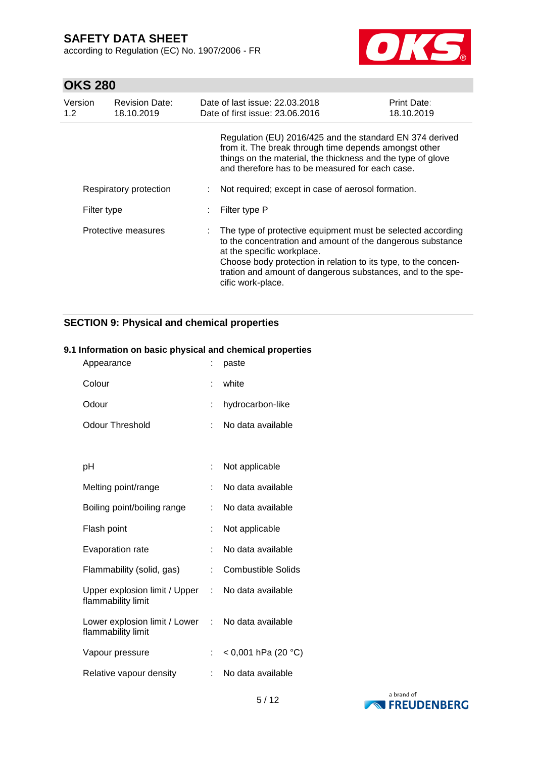according to Regulation (EC) No. 1907/2006 - FR



# **OKS 280**

| Version<br>1.2 | <b>Revision Date:</b><br>18.10.2019 | Date of last issue: 22.03.2018<br>Date of first issue: 23.06.2016                                                                                                                                                                                                                                             | <b>Print Date:</b><br>18.10.2019 |
|----------------|-------------------------------------|---------------------------------------------------------------------------------------------------------------------------------------------------------------------------------------------------------------------------------------------------------------------------------------------------------------|----------------------------------|
|                |                                     | Regulation (EU) 2016/425 and the standard EN 374 derived<br>from it. The break through time depends amongst other<br>things on the material, the thickness and the type of glove<br>and therefore has to be measured for each case.                                                                           |                                  |
|                | Respiratory protection              | Not required; except in case of aerosol formation.                                                                                                                                                                                                                                                            |                                  |
| Filter type    |                                     | Filter type P                                                                                                                                                                                                                                                                                                 |                                  |
|                | Protective measures                 | The type of protective equipment must be selected according<br>to the concentration and amount of the dangerous substance<br>at the specific workplace.<br>Choose body protection in relation to its type, to the concen-<br>tration and amount of dangerous substances, and to the spe-<br>cific work-place. |                                  |

## **SECTION 9: Physical and chemical properties**

### **9.1 Information on basic physical and chemical properties**

| Appearance                                            |    | paste                     |
|-------------------------------------------------------|----|---------------------------|
| Colour                                                | ۰  | white                     |
| Odour                                                 | t  | hydrocarbon-like          |
| Odour Threshold                                       | t  | No data available         |
|                                                       |    |                           |
| рH                                                    |    | Not applicable            |
| Melting point/range                                   | t  | No data available         |
| Boiling point/boiling range                           | ÷. | No data available         |
| Flash point                                           |    | Not applicable            |
| <b>Evaporation rate</b>                               |    | No data available         |
| Flammability (solid, gas)                             | t  | <b>Combustible Solids</b> |
| Upper explosion limit / Upper<br>flammability limit   | t. | No data available         |
| Lower explosion limit / Lower :<br>flammability limit |    | No data available         |
| Vapour pressure                                       |    | < 0,001 hPa (20 °C)       |
| Relative vapour density                               |    | No data available         |

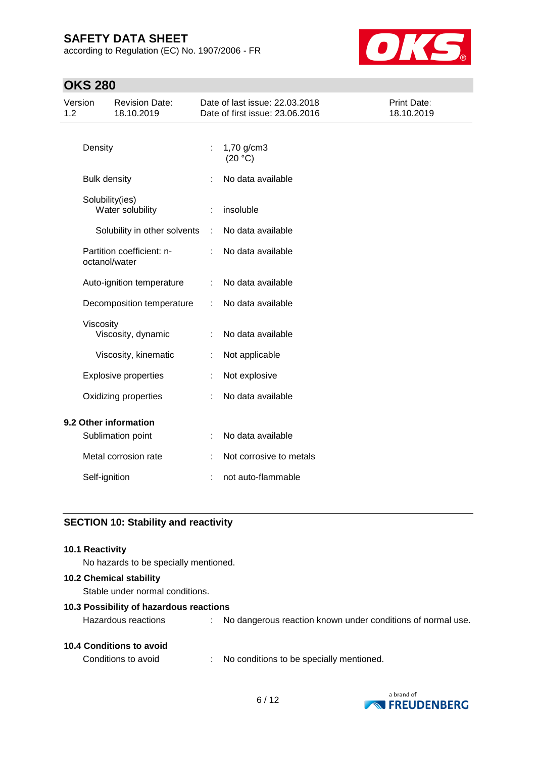according to Regulation (EC) No. 1907/2006 - FR



## **OKS 280**

| Version<br>1.2 |                     | <b>Revision Date:</b><br>18.10.2019 |   | Date of last issue: 22.03.2018<br>Date of first issue: 23.06.2016 | Print Date:<br>18.10.2019 |
|----------------|---------------------|-------------------------------------|---|-------------------------------------------------------------------|---------------------------|
|                | Density             |                                     | ÷ | 1,70 g/cm3<br>(20 °C)                                             |                           |
|                | <b>Bulk density</b> |                                     |   | No data available                                                 |                           |
|                | Solubility(ies)     | Water solubility                    |   | insoluble                                                         |                           |
|                |                     | Solubility in other solvents        | ÷ | No data available                                                 |                           |
|                | octanol/water       | Partition coefficient: n-           |   | No data available                                                 |                           |
|                |                     | Auto-ignition temperature           | ÷ | No data available                                                 |                           |
|                |                     | Decomposition temperature           | ÷ | No data available                                                 |                           |
|                | Viscosity           | Viscosity, dynamic                  |   | No data available                                                 |                           |
|                |                     | Viscosity, kinematic                | ÷ | Not applicable                                                    |                           |
|                |                     | <b>Explosive properties</b>         |   | Not explosive                                                     |                           |
|                |                     | Oxidizing properties                | ÷ | No data available                                                 |                           |
|                |                     | 9.2 Other information               |   |                                                                   |                           |
|                |                     | Sublimation point                   |   | No data available                                                 |                           |
|                |                     | Metal corrosion rate                |   | Not corrosive to metals                                           |                           |
|                | Self-ignition       |                                     |   | not auto-flammable                                                |                           |

## **SECTION 10: Stability and reactivity**

#### **10.1 Reactivity**

No hazards to be specially mentioned.

#### **10.2 Chemical stability**

Stable under normal conditions.

#### **10.3 Possibility of hazardous reactions**

|  |  | <b>10.4 Conditions to avoid</b> |  |  |
|--|--|---------------------------------|--|--|
|--|--|---------------------------------|--|--|

Conditions to avoid : No conditions to be specially mentioned.



Hazardous reactions : No dangerous reaction known under conditions of normal use.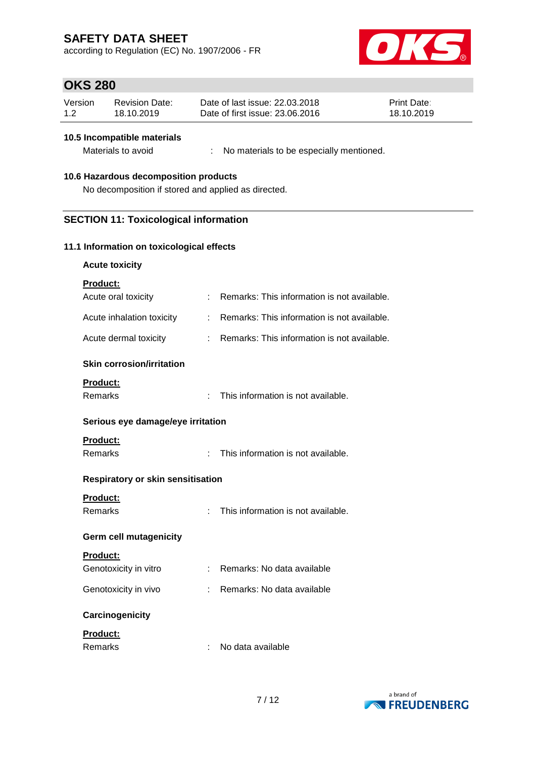according to Regulation (EC) No. 1907/2006 - FR



## **OKS 280**

| Version | Revision Date: | Date of last issue: 22.03.2018  | <b>Print Date:</b> |
|---------|----------------|---------------------------------|--------------------|
| 1.2     | 18.10.2019     | Date of first issue: 23,06,2016 | 18.10.2019         |

#### **10.5 Incompatible materials**

Materials to avoid : No materials to be especially mentioned.

#### **10.6 Hazardous decomposition products**

No decomposition if stored and applied as directed.

### **SECTION 11: Toxicological information**

#### **11.1 Information on toxicological effects**

| <b>Product:</b>                  |    |                                             |
|----------------------------------|----|---------------------------------------------|
| Acute oral toxicity              | ÷. | Remarks: This information is not available. |
| Acute inhalation toxicity        |    | Remarks: This information is not available. |
| Acute dermal toxicity            |    | Remarks: This information is not available. |
| <b>Skin corrosion/irritation</b> |    |                                             |
| <b>Product:</b>                  |    |                                             |
| Remarks                          |    | This information is not available.          |

#### **Serious eye damage/eye irritation**

### **Product:**

Remarks : This information is not available.

### **Respiratory or skin sensitisation**

### **Product:**

Remarks : This information is not available.

#### **Germ cell mutagenicity**

| <b>Product:</b> |  |  |  |
|-----------------|--|--|--|
|                 |  |  |  |

| Genotoxicity in vitro | Remarks: No data available |
|-----------------------|----------------------------|
| Genotoxicity in vivo  | Remarks: No data available |

#### **Carcinogenicity**

#### **Product:**

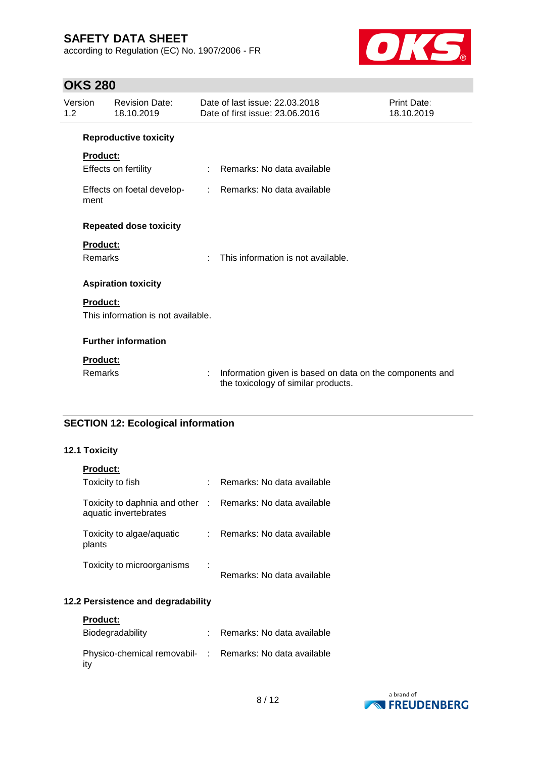according to Regulation (EC) No. 1907/2006 - FR



## **OKS 280**

| Version<br>1.2 |                 | <b>Revision Date:</b><br>18.10.2019 |                            | Date of last issue: 22.03.2018<br>Date of first issue: 23,06,2016                               | Print Date:<br>18.10.2019 |
|----------------|-----------------|-------------------------------------|----------------------------|-------------------------------------------------------------------------------------------------|---------------------------|
|                |                 | <b>Reproductive toxicity</b>        |                            |                                                                                                 |                           |
|                | Product:        |                                     |                            |                                                                                                 |                           |
|                |                 | Effects on fertility                | ÷.                         | Remarks: No data available                                                                      |                           |
|                | ment            | Effects on foetal develop-          | $\mathcal{D}^{\text{max}}$ | Remarks: No data available                                                                      |                           |
|                |                 | <b>Repeated dose toxicity</b>       |                            |                                                                                                 |                           |
|                | <b>Product:</b> |                                     |                            |                                                                                                 |                           |
|                | Remarks         |                                     | ÷                          | This information is not available.                                                              |                           |
|                |                 | <b>Aspiration toxicity</b>          |                            |                                                                                                 |                           |
|                | <b>Product:</b> |                                     |                            |                                                                                                 |                           |
|                |                 | This information is not available.  |                            |                                                                                                 |                           |
|                |                 | <b>Further information</b>          |                            |                                                                                                 |                           |
|                | <b>Product:</b> |                                     |                            |                                                                                                 |                           |
|                | Remarks         |                                     | ÷                          | Information given is based on data on the components and<br>the toxicology of similar products. |                           |

### **SECTION 12: Ecological information**

### **12.1 Toxicity**

| <b>Product:</b>                                        |           |                            |
|--------------------------------------------------------|-----------|----------------------------|
| Toxicity to fish                                       |           | Remarks: No data available |
| Toxicity to daphnia and other<br>aquatic invertebrates | $\sim 10$ | Remarks: No data available |
| Toxicity to algae/aquatic<br>plants                    |           | Remarks: No data available |
| Toxicity to microorganisms                             |           | Remarks: No data available |

### **12.2 Persistence and degradability**

| <b>Product:</b>                                                 |                            |
|-----------------------------------------------------------------|----------------------------|
| Biodegradability                                                | Remarks: No data available |
| Physico-chemical removabil- : Remarks: No data available<br>itv |                            |

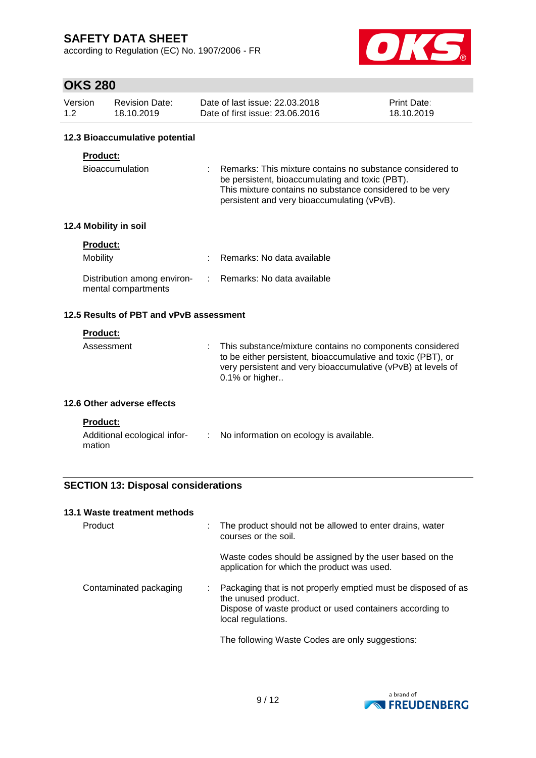according to Regulation (EC) No. 1907/2006 - FR



# **OKS 280**

| Version | Revision Date: | Date of last issue: 22.03.2018  | <b>Print Date:</b> |
|---------|----------------|---------------------------------|--------------------|
| 1.2     | 18.10.2019     | Date of first issue: 23,06,2016 | 18.10.2019         |

#### **12.3 Bioaccumulative potential**

#### **Product:**

| Bioaccumulation | : Remarks: This mixture contains no substance considered to |
|-----------------|-------------------------------------------------------------|
|                 | be persistent, bioaccumulating and toxic (PBT).             |
|                 | This mixture contains no substance considered to be very    |
|                 | persistent and very bioaccumulating (vPvB).                 |

### **12.4 Mobility in soil**

| <b>Product:</b>                                    |                              |
|----------------------------------------------------|------------------------------|
| Mobility                                           | : Remarks: No data available |
| Distribution among environ-<br>mental compartments | : Remarks: No data available |

### **12.5 Results of PBT and vPvB assessment**

### **Product:**

| $0.1\%$ or higher | Assessment |  | : This substance/mixture contains no components considered<br>to be either persistent, bioaccumulative and toxic (PBT), or<br>very persistent and very bioaccumulative (vPvB) at levels of |
|-------------------|------------|--|--------------------------------------------------------------------------------------------------------------------------------------------------------------------------------------------|
|-------------------|------------|--|--------------------------------------------------------------------------------------------------------------------------------------------------------------------------------------------|

#### **12.6 Other adverse effects**

| du |  | ı |  |
|----|--|---|--|
|    |  |   |  |

| Additional ecological infor- | No information on ecology is available. |
|------------------------------|-----------------------------------------|
| mation                       |                                         |

### **SECTION 13: Disposal considerations**

#### **13.1 Waste treatment methods**

| Product                | The product should not be allowed to enter drains, water<br>courses or the soil.                                                                                       |
|------------------------|------------------------------------------------------------------------------------------------------------------------------------------------------------------------|
|                        | Waste codes should be assigned by the user based on the<br>application for which the product was used.                                                                 |
| Contaminated packaging | Packaging that is not properly emptied must be disposed of as<br>the unused product.<br>Dispose of waste product or used containers according to<br>local regulations. |
|                        | The following Waste Codes are only suggestions:                                                                                                                        |

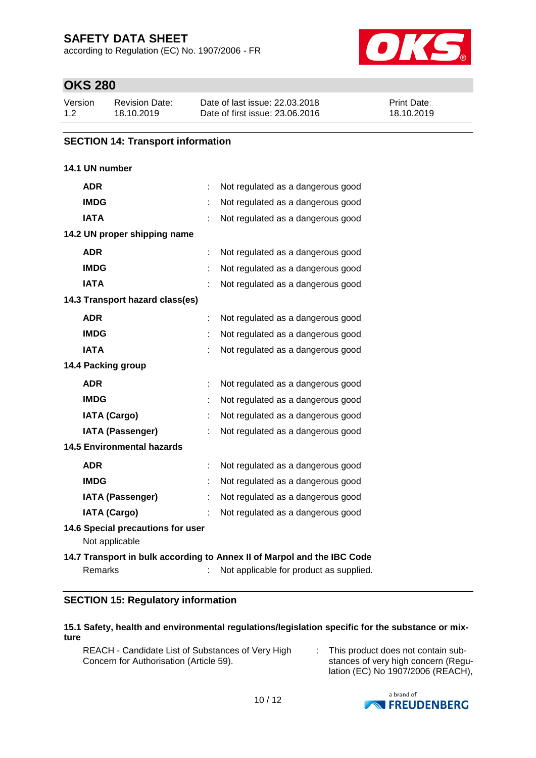according to Regulation (EC) No. 1907/2006 - FR



## **OKS 280**

| Version | Revision Date: | Date of last issue: 22,03,2018  | <b>Print Date:</b> |
|---------|----------------|---------------------------------|--------------------|
| 1.2     | 18.10.2019     | Date of first issue: 23,06,2016 | 18.10.2019         |

### **SECTION 14: Transport information**

### **14.1 UN number**

| <b>ADR</b>                                          | Not regulated as a dangerous good                                                                                  |
|-----------------------------------------------------|--------------------------------------------------------------------------------------------------------------------|
| <b>IMDG</b>                                         | Not regulated as a dangerous good                                                                                  |
| <b>IATA</b>                                         | Not regulated as a dangerous good                                                                                  |
| 14.2 UN proper shipping name                        |                                                                                                                    |
| <b>ADR</b>                                          | Not regulated as a dangerous good                                                                                  |
| <b>IMDG</b>                                         | Not regulated as a dangerous good                                                                                  |
| <b>IATA</b>                                         | Not regulated as a dangerous good                                                                                  |
| 14.3 Transport hazard class(es)                     |                                                                                                                    |
| <b>ADR</b>                                          | Not regulated as a dangerous good                                                                                  |
| <b>IMDG</b>                                         | Not regulated as a dangerous good                                                                                  |
| <b>IATA</b>                                         | Not regulated as a dangerous good                                                                                  |
| 14.4 Packing group                                  |                                                                                                                    |
| <b>ADR</b>                                          | Not regulated as a dangerous good                                                                                  |
| <b>IMDG</b>                                         | Not regulated as a dangerous good                                                                                  |
| <b>IATA (Cargo)</b>                                 | Not regulated as a dangerous good                                                                                  |
| <b>IATA (Passenger)</b>                             | Not regulated as a dangerous good                                                                                  |
| <b>14.5 Environmental hazards</b>                   |                                                                                                                    |
| <b>ADR</b>                                          | Not regulated as a dangerous good                                                                                  |
| <b>IMDG</b>                                         | Not regulated as a dangerous good                                                                                  |
| <b>IATA (Passenger)</b>                             | Not regulated as a dangerous good                                                                                  |
| <b>IATA (Cargo)</b>                                 | Not regulated as a dangerous good                                                                                  |
| 14.6 Special precautions for user<br>Not applicable |                                                                                                                    |
| Remarks                                             | 14.7 Transport in bulk according to Annex II of Marpol and the IBC Code<br>Not applicable for product as supplied. |

### **SECTION 15: Regulatory information**

#### **15.1 Safety, health and environmental regulations/legislation specific for the substance or mixture**

REACH - Candidate List of Substances of Very High Concern for Authorisation (Article 59).

: This product does not contain substances of very high concern (Regulation (EC) No 1907/2006 (REACH),

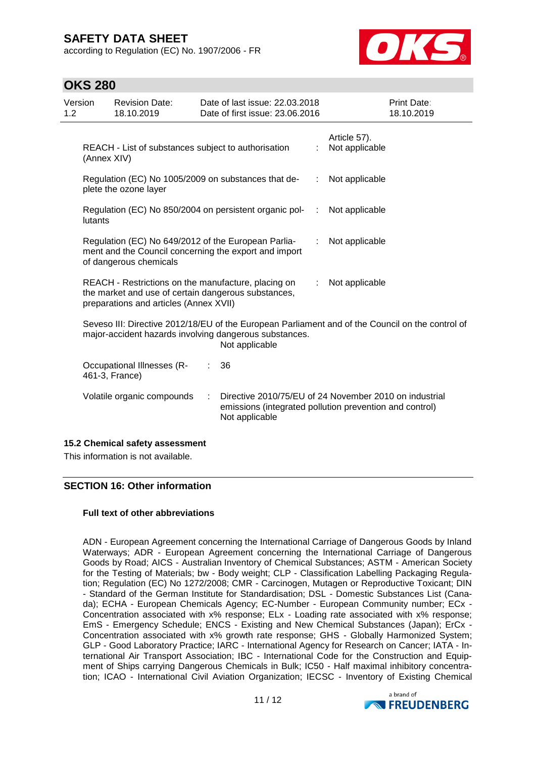according to Regulation (EC) No. 1907/2006 - FR



## **OKS 280**

| Version<br>1.2 |                                                                                                                                                                              | <b>Revision Date:</b><br>18.10.2019                 |  | Date of last issue: 22.03.2018<br>Date of first issue: 23.06.2016 |    | <b>Print Date:</b><br>18.10.2019                                                                                  |  |  |  |
|----------------|------------------------------------------------------------------------------------------------------------------------------------------------------------------------------|-----------------------------------------------------|--|-------------------------------------------------------------------|----|-------------------------------------------------------------------------------------------------------------------|--|--|--|
|                | REACH - List of substances subject to authorisation<br>(Annex XIV)                                                                                                           |                                                     |  |                                                                   | ÷. | Article 57).<br>Not applicable                                                                                    |  |  |  |
|                | Regulation (EC) No 1005/2009 on substances that de-<br>plete the ozone layer                                                                                                 |                                                     |  |                                                                   |    | Not applicable                                                                                                    |  |  |  |
|                | Regulation (EC) No 850/2004 on persistent organic pol-<br>lutants                                                                                                            |                                                     |  |                                                                   |    | Not applicable                                                                                                    |  |  |  |
|                | Regulation (EC) No 649/2012 of the European Parlia-<br>ment and the Council concerning the export and import<br>of dangerous chemicals                                       |                                                     |  |                                                                   |    | Not applicable                                                                                                    |  |  |  |
|                | REACH - Restrictions on the manufacture, placing on<br>the market and use of certain dangerous substances,<br>preparations and articles (Annex XVII)                         |                                                     |  |                                                                   |    | Not applicable                                                                                                    |  |  |  |
|                | Seveso III: Directive 2012/18/EU of the European Parliament and of the Council on the control of<br>major-accident hazards involving dangerous substances.<br>Not applicable |                                                     |  |                                                                   |    |                                                                                                                   |  |  |  |
|                |                                                                                                                                                                              | <b>Occupational Illnesses (R-</b><br>461-3, France) |  | 36                                                                |    |                                                                                                                   |  |  |  |
|                | Volatile organic compounds<br>÷<br>Not applicable                                                                                                                            |                                                     |  |                                                                   |    | Directive 2010/75/EU of 24 November 2010 on industrial<br>emissions (integrated pollution prevention and control) |  |  |  |
|                |                                                                                                                                                                              |                                                     |  |                                                                   |    |                                                                                                                   |  |  |  |

### **15.2 Chemical safety assessment**

This information is not available.

#### **SECTION 16: Other information**

#### **Full text of other abbreviations**

ADN - European Agreement concerning the International Carriage of Dangerous Goods by Inland Waterways; ADR - European Agreement concerning the International Carriage of Dangerous Goods by Road; AICS - Australian Inventory of Chemical Substances; ASTM - American Society for the Testing of Materials; bw - Body weight; CLP - Classification Labelling Packaging Regulation; Regulation (EC) No 1272/2008; CMR - Carcinogen, Mutagen or Reproductive Toxicant; DIN - Standard of the German Institute for Standardisation; DSL - Domestic Substances List (Canada); ECHA - European Chemicals Agency; EC-Number - European Community number; ECx - Concentration associated with x% response; ELx - Loading rate associated with x% response; EmS - Emergency Schedule; ENCS - Existing and New Chemical Substances (Japan); ErCx - Concentration associated with x% growth rate response; GHS - Globally Harmonized System; GLP - Good Laboratory Practice; IARC - International Agency for Research on Cancer; IATA - International Air Transport Association; IBC - International Code for the Construction and Equipment of Ships carrying Dangerous Chemicals in Bulk; IC50 - Half maximal inhibitory concentration; ICAO - International Civil Aviation Organization; IECSC - Inventory of Existing Chemical